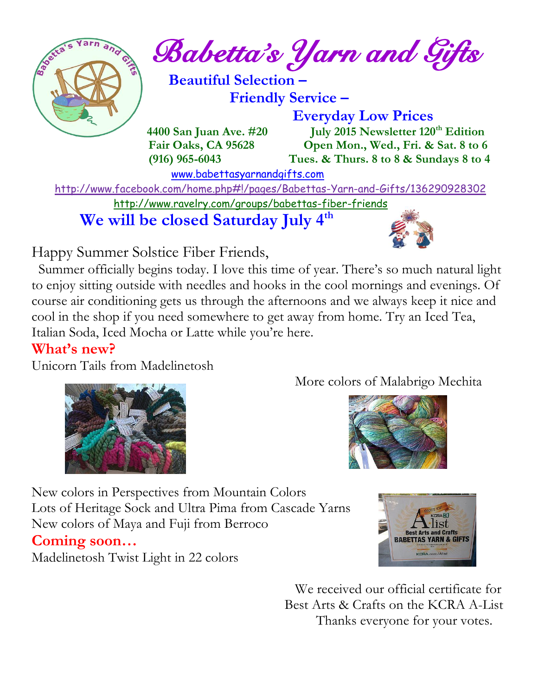

 $\int_{a}^{\frac{1}{2} \cdot \sqrt{2}} \frac{1}{a} \cdot \int_{a}^{a} B_{a}^{a} \cdot dA \cdot \int_{a}^{a} B_{a}^{a} \cdot \int_{a}^{b} B_{a}^{a} \cdot \int_{a}^{b} B_{a}^{a} \cdot \int_{a}^{b} B_{a}^{a} \cdot \int_{a}^{b} B_{a}^{a} \cdot \int_{a}^{b} B_{a}^{a} \cdot \int_{a}^{b} B_{a}^{a} \cdot \int_{a}^{b} B_{a}^{a} \cdot \int_{a}^{b} B_{a}^{a} \cdot \int_{a}^{b} B_{a}^{a} \cdot \$ 

 **Beautiful Selection – Friendly Service –**

 **Everyday Low Prices**

 **4400 San Juan Ave. #20 July 2015 Newsletter 120th Edition Fair Oaks, CA 95628 Open Mon., Wed., Fri. & Sat. 8 to 6 (916) 965-6043 Tues. & Thurs. 8 to 8 & Sundays 8 to 4** 

[www.babettasyarnandgifts.com](http://www.babettasyarnandgifts.com/)

 <http://www.facebook.com/home.php#!/pages/Babettas-Yarn-and-Gifts/136290928302> <http://www.ravelry.com/groups/babettas-fiber-friends>

 **We will be closed Saturday July 4th**



Happy Summer Solstice Fiber Friends,

 Summer officially begins today. I love this time of year. There's so much natural light to enjoy sitting outside with needles and hooks in the cool mornings and evenings. Of course air conditioning gets us through the afternoons and we always keep it nice and cool in the shop if you need somewhere to get away from home. Try an Iced Tea, Italian Soda, Iced Mocha or Latte while you're here.

### **What's new?**

Unicorn Tails from Madelinetosh



More colors of Malabrigo Mechita



New colors in Perspectives from Mountain Colors Lots of Heritage Sock and Ultra Pima from Cascade Yarns New colors of Maya and Fuji from Berroco

### **Coming soon…**

Madelinetosh Twist Light in 22 colors



 We received our official certificate for Best Arts & Crafts on the KCRA A-List Thanks everyone for your votes.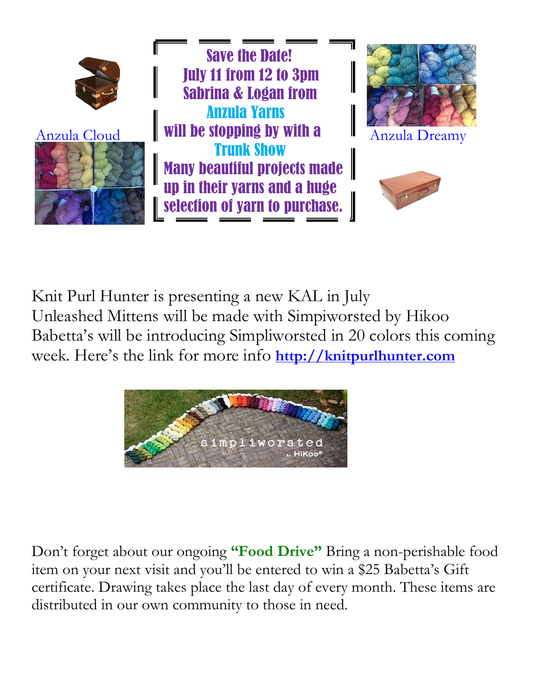

Knit Purl Hunter is presenting a new KAL in July Unleashed Mittens will be made with Simpiworsted by Hikoo Babetta's will be introducing Simpliworsted in 20 colors this coming week. Here's the link for more info **[http://knitpurlhunter.com](http://knitpurlhunter.com/)**



Don't forget about our ongoing **"Food Drive"** Bring a non-perishable food item on your next visit and you'll be entered to win a \$25 Babetta's Gift certificate. Drawing takes place the last day of every month. These items are distributed in our own community to those in need.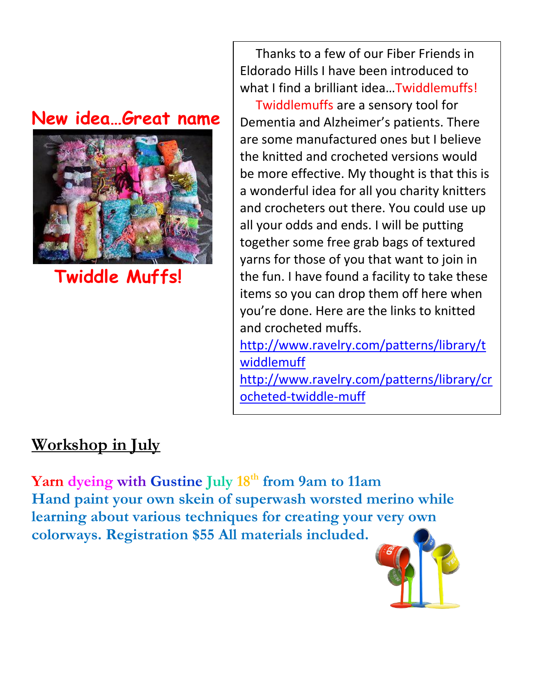## **New idea…Great name**



 **Twiddle Muffs!**

 Thanks to a few of our Fiber Friends in Eldorado Hills I have been introduced to what I find a brilliant idea...Twiddlemuffs!

 Twiddlemuffs are a sensory tool for Dementia and Alzheimer's patients. There are some manufactured ones but I believe the knitted and crocheted versions would be more effective. My thought is that this is a wonderful idea for all you charity knitters and crocheters out there. You could use up all your odds and ends. I will be putting together some free grab bags of textured yarns for those of you that want to join in the fun. I have found a facility to take these items so you can drop them off here when you're done. Here are the links to knitted and crocheted muffs.

[http://www.ravelry.com/patterns/library/t](http://www.ravelry.com/patterns/library/twiddlemuff) [widdlemuff](http://www.ravelry.com/patterns/library/twiddlemuff)

[http://www.ravelry.com/patterns/library/cr](http://www.ravelry.com/patterns/library/crocheted-twiddle-muff) [ocheted-twiddle-muff](http://www.ravelry.com/patterns/library/crocheted-twiddle-muff)

## **Workshop in July**

**Yarn dyeing with Gustine July 18th from 9am to 11am Hand paint your own skein of superwash worsted merino while learning about various techniques for creating your very own colorways. Registration \$55 All materials included.**

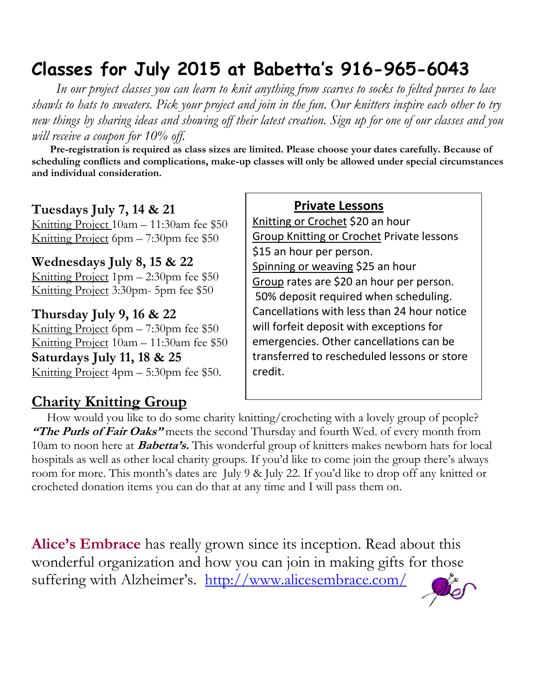# **Classes for July 2015 at Babetta's 916-965-6043**

 *In our project classes you can learn to knit anything from scarves to socks to felted purses to lace shawls to hats to sweaters. Pick your project and join in the fun. Our knitters inspire each other to try new things by sharing ideas and showing off their latest creation. Sign up for one of our classes and you will receive a coupon for 10% off.*

 **Pre-registration is required as class sizes are limited. Please choose your dates carefully. Because of scheduling conflicts and complications, make-up classes will only be allowed under special circumstances and individual consideration.**

#### **Tuesdays July 7, 14 & 21**

Knitting Project 10am – 11:30am fee \$50 Knitting Project 6pm – 7:30pm fee \$50

**Wednesdays July 8, 15 & 22**

Knitting Project 1pm – 2:30pm fee \$50 Knitting Project 3:30pm- 5pm fee \$50

**Thursday July 9, 16 & 22** Knitting Project 6pm – 7:30pm fee \$50 Knitting Project 10am – 11:30am fee \$50 **Saturdays July 11, 18 & 25** Knitting Project 4pm – 5:30pm fee \$50.

### **Charity Knitting Group**

**Private Lessons** 

Knitting or Crochet \$20 an hour Group Knitting or Crochet Private lessons \$15 an hour per person. Spinning or weaving \$25 an hour Group rates are \$20 an hour per person. 50% deposit required when scheduling. Cancellations with less than 24 hour notice will forfeit deposit with exceptions for emergencies. Other cancellations can be transferred to rescheduled lessons or store credit.

 How would you like to do some charity knitting/crocheting with a lovely group of people? **"The Purls of Fair Oaks"** meets the second Thursday and fourth Wed. of every month from 10am to noon here at **Babetta's.** This wonderful group of knitters makes newborn hats for local hospitals as well as other local charity groups. If you'd like to come join the group there's always room for more. This month's dates are July 9 & July 22. If you'd like to drop off any knitted or crocheted donation items you can do that at any time and I will pass them on.

**Alice's Embrace** has really grown since its inception. Read about this wonderful organization and how you can join in making gifts for those suffering with Alzheimer's. http://www.alicesembrace.com/